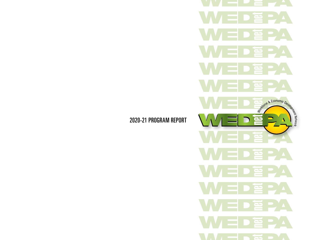冟 e -E PA <u>حه</u> <u>جە</u> Newtone & Economic Development D e - 1-筥  $\bullet$  $\mathbf{\underline{D}}$ 亶 **GL** has a

2020-21 PROGRAM REPORT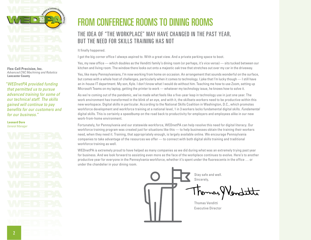

**Flex-Cell Precision, Inc.** *Advanced CNC Machining and Robotics* **Lancaster County**

*"WEDnetPA provided funding that permitted us to pursue advanced training for some of our technical staff. The skills gained will continue to pay benefits for our customers and for our business."*

**Leonard Dore** *General Manager*

### FROM CONFERENCE ROOMS TO DINING ROOMS

### THE IDEA OF "THE WORKPLACE" MAY HAVE CHANGED IN THE PAST YEAR, BUT THE NEED FOR SKILLS TRAINING HAS NOT

#### It finally happened.

I got the big corner office I always aspired to. With a great view. And a private parking space to boot.

Yes, my new office — which doubles as the Venditti family's dining room (or perhaps, it's vice versa) — sits tucked between our kitchen and living room. The window there looks out onto a majestic oak tree that stretches out over my car in the driveway.

Yes, like many Pennsylvanians, I'm now working from home on occasion. An arrangement that sounds wonderful on the surface, but comes with a whole host of challenges, particularly when it comes to technology. I joke that I'm lucky though — I still have an in-house IT department. My son, Kyle. I don't know what I would do without him. Teaching me how to use Zoom, setting up Microsoft Teams on my laptop, getting the printer to work — whatever my technology issue, he knows how to solve it.

As we're coming out of the pandemic, we've made what feels like a five-year leap in technology use in just one year. The work environment has transformed in the blink of an eye, and with it, the skillsets workers need to be productive within this new workspace. Digital skills in particular. According to the National Skills Coalition in Washington, D.C., which promotes workforce development and workforce training at a national level, 1 in 3 workers lacks fundamental digital skills. *Fundamental* digital skills. This is certainly a speedbump on the road back to productivity for employers and employees alike in our new work-from-home environment.

Fortunately, for Pennsylvania and our statewide workforce, WEDnetPA can help resolve this need for digital literacy. Our workforce training program was created just for situations like this — to help businesses obtain the training their workers need, when they need it. Training, that appropriately enough, is largely available online. We encourage Pennsylvania companies to take advantage of the resources we offer — to connect with both digital skills training and traditional workforce training as well.

WEDnetPA is extremely proud to have helped as many companies as we did during what was an extremely trying past year for business. And we look forward to assisting even more as the face of the workplace continues to evolve. Here's to another productive year for everyone in the Pennsylvania workforce, whether it's spent under the fluorescents in the office … or under the chandelier in your dining room.

> Stay safe and well. Sincerely, Thomas Venditti Executive Director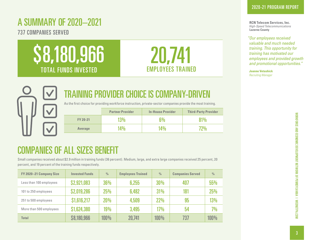## A SUMMARY OF 2020–2021

737 COMPANIES SERVED





# TRAINING PROVIDER CHOICE IS COMPANY-DRI

As the first choice for providing workforce instruction, private-sector companies provide the most training.

|                 | <b>Partner Provider</b> | <b>In-House Provider</b> | <b>Third-Party Provider</b> |
|-----------------|-------------------------|--------------------------|-----------------------------|
| <b>FY 20-21</b> | $13\%$                  | ና‰                       | 81%                         |
| <b>Average</b>  | $14\%$                  | $14\%$                   | 2%                          |

### COMPANIES OF ALL SIZES BENEFIT

Small companies received about \$2.9 million in training funds (36 percent). Medium, large, and extra large companies received 25 percent, 20 percent, and 19 percent of the training funds respectively.

| FY 2020-21 Company Size | <b>Invested Funds</b> | $\frac{0}{0}$ | <b>Employees Trained</b> | $\frac{0}{0}$ | <b>Companies Served</b> | $\frac{0}{0}$ |
|-------------------------|-----------------------|---------------|--------------------------|---------------|-------------------------|---------------|
| Less than 100 employees | \$2,921,083           | 36%           | 6,255                    | <b>30%</b>    | 407                     | 55%           |
| 101 to 250 employees    | \$2,019,286           | 25%           | 6,482                    | 31%           | 181                     | 25%           |
| 251 to 500 employees    | \$1,616,217           | 20%           | 4.509                    | 22%           | 95                      | 13%           |
| More than 500 employees | \$1,624,380           | <b>19%</b>    | 3.495                    | 17%           | 54                      | 7%            |
| <b>Total</b>            | \$8,180,966           | 100%          | 20,741                   | $100\%$       | 737                     | 100%          |

*"Our employees received valuable and much needed training. This opportunity for training has motivated our employees and provided growth and promotional opportunities."*

**Joanne Vetashick** *Recruiting Manager*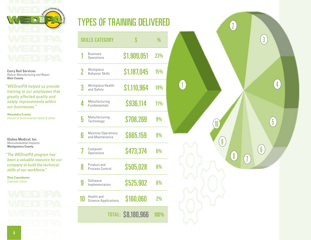

**Curry Rail Services** *Railcar Manufacturing and Repair* **Blair County**

*"WEDnetPA helped us provide training to our employees that greatly affected quality and safety improvements within our businesses."*

**Alexandra Creany** *Director of Environmental Health & Safety*

**Globus Medical, Inc.** *Musculoskeletal Implants* **Montgomery County**

*"The WEDnetPA program has been a valuable resource for our company to build the technical skills of our workforce."*

**Dina Copenhaver** *Corporate Trainer*

# 4

|                | <b>SKILLS CATEGORY</b>                       | S                  | $\frac{0}{n}$ |
|----------------|----------------------------------------------|--------------------|---------------|
|                | <b>Business</b><br><b>Operations</b>         | \$1,909,051        | 23%           |
| $\overline{2}$ | Workplace<br><b>Behavior Skills</b>          | \$1,187,045        | 15%           |
| 3              | Workplace Health<br>and Safety               | \$1,110,964        | $14\%$        |
| 4              | Manufacturing<br><b>Fundamentals</b>         | \$936,114          | $11\%$        |
| 5              | Manufacturing<br>Technology                  | \$708,269          | 9%            |
| 6              | <b>Machine Operations</b><br>and Maintenance | <b>S665,159</b>    | 8%            |
|                | Computer<br><b>Operations</b>                | \$473,374          | $6\%$         |
| 8              | Product and<br>Process Control               | \$505,028          | 6%            |
| 9              | Software<br>Implementation                   | \$525,902          | 6%            |
| 10             | Health and<br><b>Science Applications</b>    | \$160,060          | 2%            |
|                |                                              | TOTAL: \$8,180,966 | <b>100%</b>   |

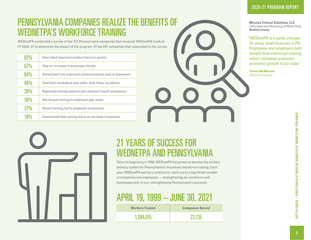### PENNSYLVANIA COMPANIES REALIZE THE BENEFITS OF WEDNETPA'S WORKFORCE TRAINING

WEDnetPA conducted a survey of the 737 Pennsylvania companies that received WEDnetPA funds in FY 2020–21 to determine the impact of the program. Of the 247 companies that responded to the survey:

| 82%        | Described improved product/service quality                  |
|------------|-------------------------------------------------------------|
| 67%        | Saw an increase in employee morale                          |
| 64%        | Benefitted from improved communications and/or teamwork     |
| <b>48%</b> | Said their workplace was safer, with fewer accidents        |
| 39%        | Reported training aided in job retention (layoff avoidance) |
| 39%        | Attributed training to employee pay raises                  |
| 37%        | Noted training led to employee promotions                   |
| 19%        | Commented that training led to an increase in business      |



**Mission Critical Solutions, LLC** *Fabrication and Machining of Metal Parts* **Bedford County**

*"WEDnetPA is a game changer for every small business in PA. Employees and employers both benefit from enhanced training, which ultimately promotes economic growth in our state."*

**Patrice McMorrow** *Marketing Manager*

| $\overline{\phantom{a}}$ |  |  |
|--------------------------|--|--|

### 21 YEARS OF SUCCESS FOR WEDNETPA AND PENNSYLVANIA

Since its beginning in 1999, WEDnetPA has grown to become the primary delivery system for Pennsylvania's incumbent workforce training. Each year, WEDnetPA partners continue to reach out to a significant number of companies and employees — strengthening our workforce and businesses and, in turn, strengthening Pennsylvania's economy.

### APRIL 19, 1999 – JUNE 30, 2021

**Workers Trained Companies Served** 1,284,015 22,135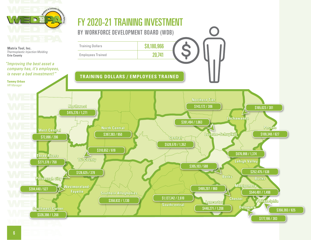



*"Improving the best asset a company has, it's employees, is never a bad investment!"*



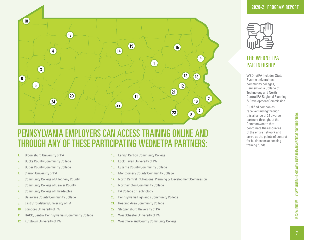

### PENNSYLVANIA EMPLOYERS CAN ACCESS TRAINING ONLINE AND THROUGH ANY OF THESE PARTICIPATING WEDNETPA PARTNERS:

- 1. [Bloomsburg University of PA](http://www.wednetpa.com/ContactUs/#section1)
- 2. [Bucks County Community College](http://www.wednetpa.com/ContactUs/#section1)
- 3. [Butler County Community College](http://www.wednetpa.com/ContactUs/#section1)
- 4. [Clarion University of PA](http://www.wednetpa.com/ContactUs/#section1)
- 5. [Community College of Allegheny County](http://www.wednetpa.com/ContactUs/#section1)
- 6. [Community College of Beaver County](http://www.wednetpa.com/ContactUs/#section1)
- 7. [Community College of Philadelphia](http://www.wednetpa.com/ContactUs/#section1)
- 8. [Delaware County Community College](http://www.wednetpa.com/ContactUs/#section1)
- 9. [East Stroudsburg University of PA](http://www.wednetpa.com/ContactUs/#section1)
- 10. [Edinboro University of PA](http://www.wednetpa.com/ContactUs/#section1)
- 11. [HACC, Central Pennsylvania's Community College](http://www.wednetpa.com/ContactUs/#section1)
- 12. [Kutztown University of PA](http://www.wednetpa.com/ContactUs/#section1)
- 13. [Lehigh Carbon Community College](http://www.wednetpa.com/ContactUs/#section1)
- 14. [Lock Haven University of PA](http://www.wednetpa.com/ContactUs/#section1)
- 15. [Luzerne County Community College](http://www.wednetpa.com/ContactUs/#section1)
- 16. [Montgomery County Community College](http://www.wednetpa.com/ContactUs/#section1)
- 17. [North Central PA Regional Planning & Development Commission](http://www.wednetpa.com/ContactUs/#section1)
- 18. [Northampton Community College](http://www.wednetpa.com/ContactUs/#section1)
- 19. [PA College of Technology](http://www.wednetpa.com/ContactUs/#section1)
- 20. [Pennsylvania Highlands Community College](http://www.wednetpa.com/ContactUs/#section1)
- 21. [Reading Area Community College](http://www.wednetpa.com/ContactUs/#section1)
- 22. [Shippensburg University of PA](http://www.wednetpa.com/ContactUs/#section1)
- 23. [West Chester University of PA](http://www.wednetpa.com/ContactUs/#section1)
- 24. [Westmoreland County Community College](http://www.wednetpa.com/ContactUs/#section1)



### THE WEDNETPA **PARTNERSHIP**

WEDnetPA includes State System universities, community colleges, Pennsylvania College of Technology and North Central PA Regional Planning & Development Commission.

Qualified companies receive funding through this alliance of 24 diverse partners throughout the Commonwealth that coordinate the resources of the entire network and serve as the points of contact for businesses accessing training funds.